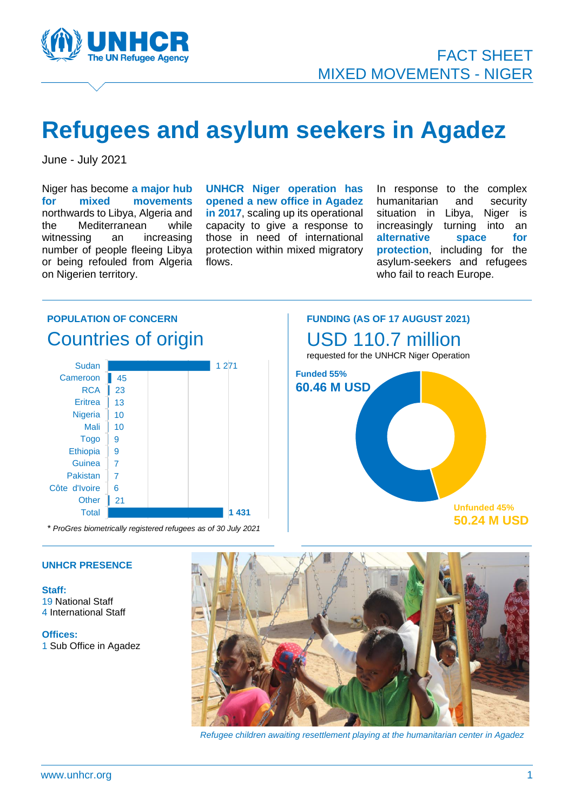

## **Refugees and asylum seekers in Agadez**

June - July 2021

Niger has become **a major hub for mixed movements** northwards to Libya, Algeria and the Mediterranean while witnessing an increasing number of people fleeing Libya or being refouled from Algeria on Nigerien territory.

**UNHCR Niger operation has opened a new office in Agadez in 2017**, scaling up its operational capacity to give a response to those in need of international protection within mixed migratory flows.

In response to the complex humanitarian and security situation in Libya, Niger is increasingly turning into an **alternative space for protection**, including for the asylum-seekers and refugees who fail to reach Europe.

#### **POPULATION OF CONCERN** Countries of origin **1 431**  $\vert$  21 6 7 7 9 9 10 10 13 23 Cameroon 45 1 271 Total **Other** Côte d'Ivoire Pakistan **Guinea Ethiopia Togo** Mali Nigeria **Eritrea RCA** Sudan **Funded 55% 60.46 M USD**

*\* ProGres biometrically registered refugees as of 30 July 2021*





#### **UNHCR PRESENCE**

**Staff:** 19 National Staff 4 International Staff

**Offices:** 1 Sub Office in Agadez



 *Refugee children awaiting resettlement playing at the humanitarian center in Agadez*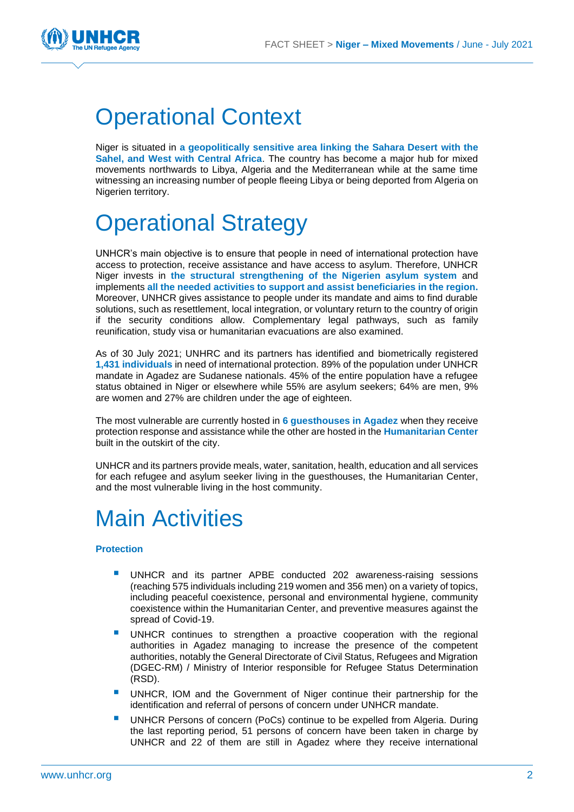

### Operational Context

Niger is situated in **a geopolitically sensitive area linking the Sahara Desert with the Sahel, and West with Central Africa**. The country has become a major hub for mixed movements northwards to Libya, Algeria and the Mediterranean while at the same time witnessing an increasing number of people fleeing Libya or being deported from Algeria on Nigerien territory.

# perational Strategy

UNHCR's main objective is to ensure that people in need of international protection have access to protection, receive assistance and have access to asylum. Therefore, UNHCR Niger invests in **the structural strengthening of the Nigerien asylum system** and implements **all the needed activities to support and assist beneficiaries in the region.** Moreover, UNHCR gives assistance to people under its mandate and aims to find durable solutions, such as resettlement, local integration, or voluntary return to the country of origin if the security conditions allow. Complementary legal pathways, such as family reunification, study visa or humanitarian evacuations are also examined.

As of 30 July 2021; UNHRC and its partners has identified and biometrically registered **1,431 individuals** in need of international protection. 89% of the population under UNHCR mandate in Agadez are Sudanese nationals. 45% of the entire population have a refugee status obtained in Niger or elsewhere while 55% are asylum seekers; 64% are men, 9% are women and 27% are children under the age of eighteen.

The most vulnerable are currently hosted in **6 guesthouses in Agadez** when they receive protection response and assistance while the other are hosted in the **Humanitarian Center** built in the outskirt of the city.

UNHCR and its partners provide meals, water, sanitation, health, education and all services for each refugee and asylum seeker living in the guesthouses, the Humanitarian Center, and the most vulnerable living in the host community.

## Main Activities

#### **Protection**

- UNHCR and its partner APBE conducted 202 awareness-raising sessions (reaching 575 individuals including 219 women and 356 men) on a variety of topics, including peaceful coexistence, personal and environmental hygiene, community coexistence within the Humanitarian Center, and preventive measures against the spread of Covid-19.
- UNHCR continues to strengthen a proactive cooperation with the regional authorities in Agadez managing to increase the presence of the competent authorities, notably the General Directorate of Civil Status, Refugees and Migration (DGEC-RM) / Ministry of Interior responsible for Refugee Status Determination (RSD).
- UNHCR, IOM and the Government of Niger continue their partnership for the identification and referral of persons of concern under UNHCR mandate.
- UNHCR Persons of concern (PoCs) continue to be expelled from Algeria. During the last reporting period, 51 persons of concern have been taken in charge by UNHCR and 22 of them are still in Agadez where they receive international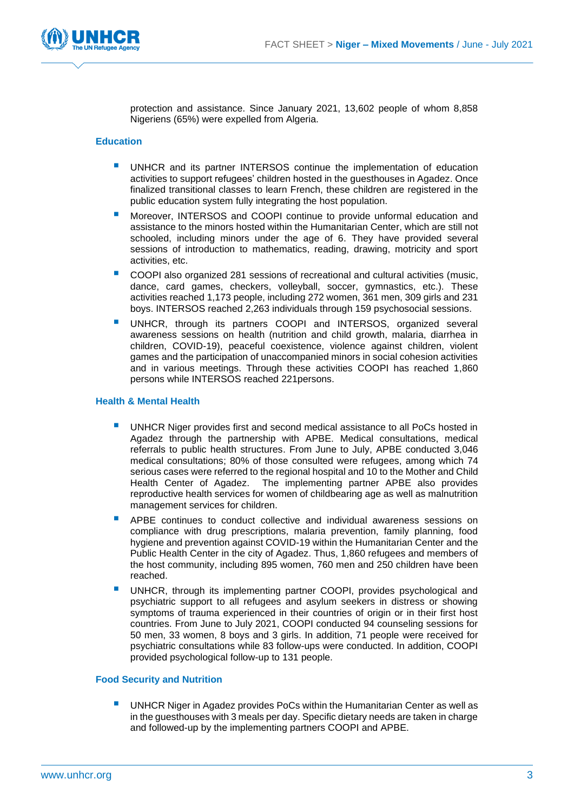

protection and assistance. Since January 2021, 13,602 people of whom 8,858 Nigeriens (65%) were expelled from Algeria.

#### **Education**

- UNHCR and its partner INTERSOS continue the implementation of education activities to support refugees' children hosted in the guesthouses in Agadez. Once finalized transitional classes to learn French, these children are registered in the public education system fully integrating the host population.
- Moreover, INTERSOS and COOPI continue to provide unformal education and assistance to the minors hosted within the Humanitarian Center, which are still not schooled, including minors under the age of 6. They have provided several sessions of introduction to mathematics, reading, drawing, motricity and sport activities, etc.
- COOPI also organized 281 sessions of recreational and cultural activities (music, dance, card games, checkers, volleyball, soccer, gymnastics, etc.). These activities reached 1,173 people, including 272 women, 361 men, 309 girls and 231 boys. INTERSOS reached 2,263 individuals through 159 psychosocial sessions.
- UNHCR, through its partners COOPI and INTERSOS, organized several awareness sessions on health (nutrition and child growth, malaria, diarrhea in children, COVID-19), peaceful coexistence, violence against children, violent games and the participation of unaccompanied minors in social cohesion activities and in various meetings. Through these activities COOPI has reached 1,860 persons while INTERSOS reached 221persons.

#### **Health & Mental Health**

- UNHCR Niger provides first and second medical assistance to all PoCs hosted in Agadez through the partnership with APBE. Medical consultations, medical referrals to public health structures. From June to July, APBE conducted 3,046 medical consultations; 80% of those consulted were refugees, among which 74 serious cases were referred to the regional hospital and 10 to the Mother and Child Health Center of Agadez. The implementing partner APBE also provides reproductive health services for women of childbearing age as well as malnutrition management services for children.
- APBE continues to conduct collective and individual awareness sessions on compliance with drug prescriptions, malaria prevention, family planning, food hygiene and prevention against COVID-19 within the Humanitarian Center and the Public Health Center in the city of Agadez. Thus, 1,860 refugees and members of the host community, including 895 women, 760 men and 250 children have been reached.
- UNHCR, through its implementing partner COOPI, provides psychological and psychiatric support to all refugees and asylum seekers in distress or showing symptoms of trauma experienced in their countries of origin or in their first host countries. From June to July 2021, COOPI conducted 94 counseling sessions for 50 men, 33 women, 8 boys and 3 girls. In addition, 71 people were received for psychiatric consultations while 83 follow-ups were conducted. In addition, COOPI provided psychological follow-up to 131 people.

#### **Food Security and Nutrition**

UNHCR Niger in Agadez provides PoCs within the Humanitarian Center as well as in the guesthouses with 3 meals per day. Specific dietary needs are taken in charge and followed-up by the implementing partners COOPI and APBE.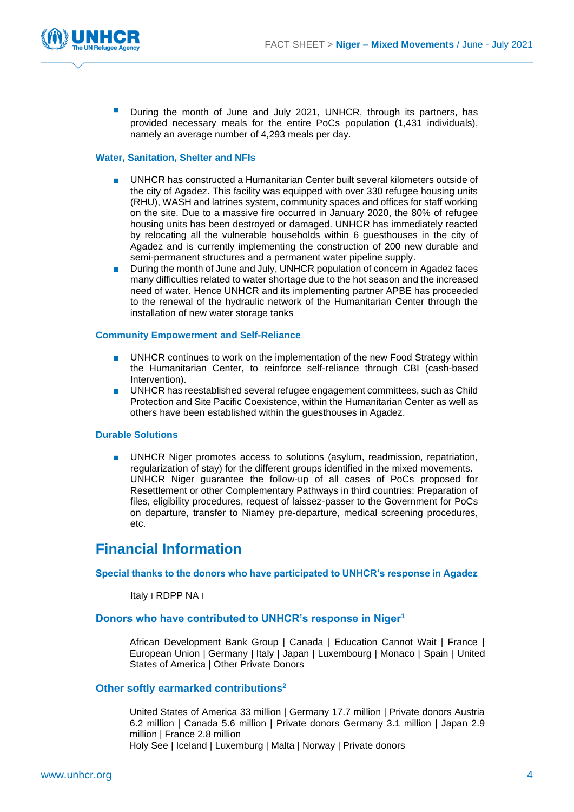

During the month of June and July 2021, UNHCR, through its partners, has provided necessary meals for the entire PoCs population (1,431 individuals), namely an average number of 4,293 meals per day.

#### **Water, Sanitation, Shelter and NFIs**

- UNHCR has constructed a Humanitarian Center built several kilometers outside of the city of Agadez. This facility was equipped with over 330 refugee housing units (RHU), WASH and latrines system, community spaces and offices for staff working on the site. Due to a massive fire occurred in January 2020, the 80% of refugee housing units has been destroyed or damaged. UNHCR has immediately reacted by relocating all the vulnerable households within 6 guesthouses in the city of Agadez and is currently implementing the construction of 200 new durable and semi-permanent structures and a permanent water pipeline supply.
- During the month of June and July, UNHCR population of concern in Agadez faces many difficulties related to water shortage due to the hot season and the increased need of water. Hence UNHCR and its implementing partner APBE has proceeded to the renewal of the hydraulic network of the Humanitarian Center through the installation of new water storage tanks

#### **Community Empowerment and Self-Reliance**

- UNHCR continues to work on the implementation of the new Food Strategy within the Humanitarian Center, to reinforce self-reliance through CBI (cash-based Intervention).
- UNHCR has reestablished several refugee engagement committees, such as Child Protection and Site Pacific Coexistence, within the Humanitarian Center as well as others have been established within the guesthouses in Agadez.

#### **Durable Solutions**

UNHCR Niger promotes access to solutions (asylum, readmission, repatriation, regularization of stay) for the different groups identified in the mixed movements. UNHCR Niger guarantee the follow-up of all cases of PoCs proposed for Resettlement or other Complementary Pathways in third countries: Preparation of files, eligibility procedures, request of laissez-passer to the Government for PoCs on departure, transfer to Niamey pre-departure, medical screening procedures, etc.

### **Financial Information**

#### **Special thanks to the donors who have participated to UNHCR's response in Agadez**

Italy ׀ RDPP NA ׀

### **Donors who have contributed to UNHCR's response in Niger<sup>1</sup>**

African Development Bank Group | Canada | Education Cannot Wait | France | European Union | Germany | Italy | Japan | Luxembourg | Monaco | Spain | United States of America | Other Private Donors

#### **Other softly earmarked contributions<sup>2</sup>**

United States of America 33 million | Germany 17.7 million | Private donors Austria 6.2 million | Canada 5.6 million | Private donors Germany 3.1 million | Japan 2.9 million | France 2.8 million Holy See | Iceland | Luxemburg | Malta | Norway | Private donors